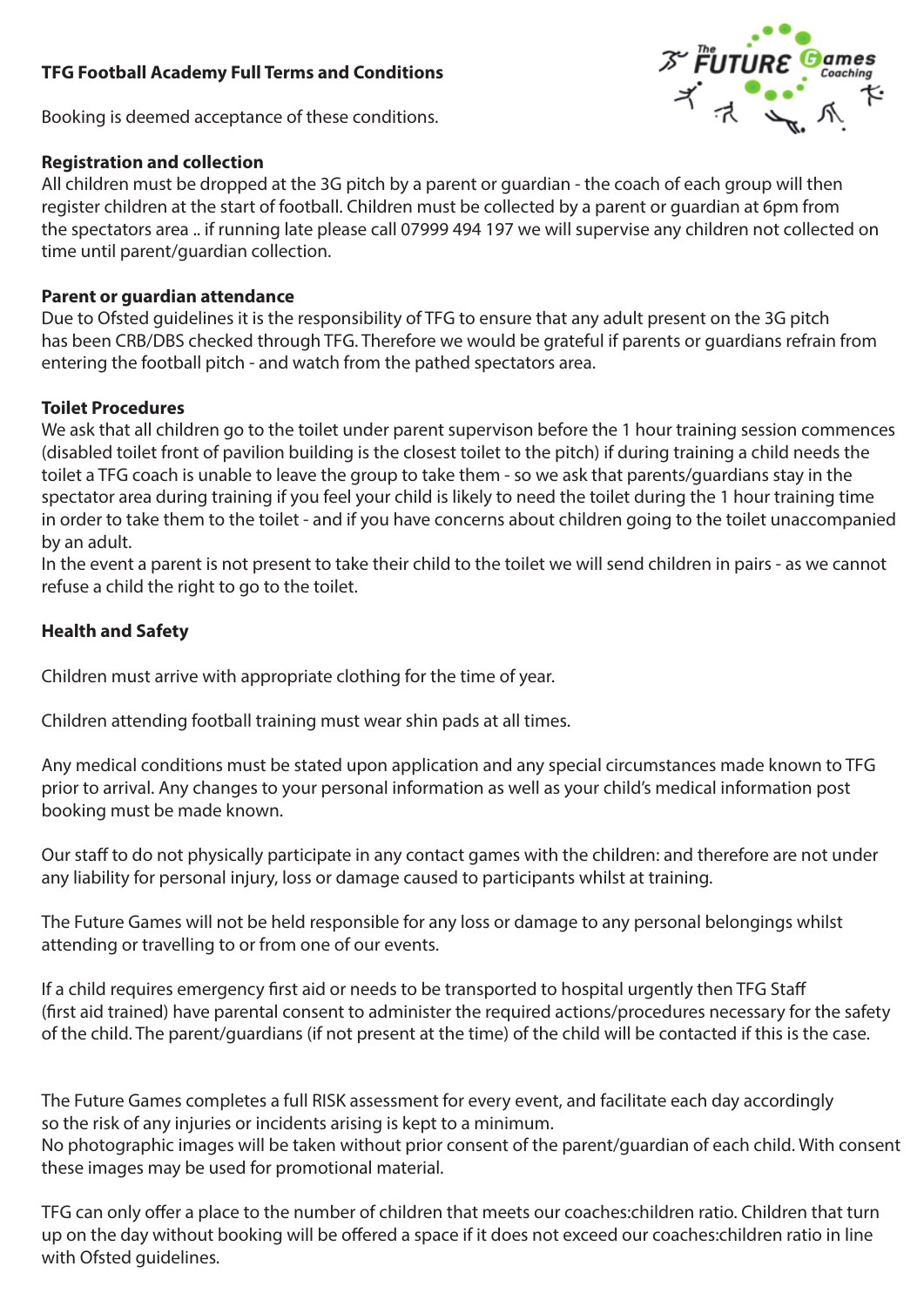# **TFG Football Academy Full Terms and Conditions**

Booking is deemed acceptance of these conditions.

## **Registration and collection**

All children must be dropped at the 3G pitch by a parent or guardian - the coach of each group will then register children at the start of football. Children must be collected by a parent or guardian at 6pm from the spectators area .. if running late please call 07999 494 197 we will supervise any children not collected on time until parent/guardian collection.

# **Parent or guardian attendance**

Due to Ofsted guidelines it is the responsibility of TFG to ensure that any adult present on the 3G pitch has been CRB/DBS checked through TFG. Therefore we would be grateful if parents or guardians refrain from entering the football pitch - and watch from the pathed spectators area.

## **Toilet Procedures**

We ask that all children go to the toilet under parent supervison before the 1 hour training session commences (disabled toilet front of pavilion building is the closest toilet to the pitch) if during training a child needs the toilet a TFG coach is unable to leave the group to take them - so we ask that parents/guardians stay in the spectator area during training if you feel your child is likely to need the toilet during the 1 hour training time in order to take them to the toilet - and if you have concerns about children going to the toilet unaccompanied by an adult.

In the event a parent is not present to take their child to the toilet we will send children in pairs - as we cannot refuse a child the right to go to the toilet.

# **Health and Safety**

Children must arrive with appropriate clothing for the time of year.

Children attending football training must wear shin pads at all times.

Any medical conditions must be stated upon application and any special circumstances made known to TFG prior to arrival. Any changes to your personal information as well as your child's medical information post booking must be made known.

Our staff to do not physically participate in any contact games with the children: and therefore are not under any liability for personal injury, loss or damage caused to participants whilst at training.

The Future Games will not be held responsible for any loss or damage to any personal belongings whilst attending or travelling to or from one of our events.

If a child requires emergency first aid or needs to be transported to hospital urgently then TFG Staff (first aid trained) have parental consent to administer the required actions/procedures necessary for the safety of the child. The parent/guardians (if not present at the time) of the child will be contacted if this is the case.

The Future Games completes a full RISK assessment for every event, and facilitate each day accordingly so the risk of any injuries or incidents arising is kept to a minimum. No photographic images will be taken without prior consent of the parent/guardian of each child. With consent these images may be used for promotional material.

TFG can only offer a place to the number of children that meets our coaches:children ratio. Children that turn up on the day without booking will be offered a space if it does not exceed our coaches:children ratio in line with Ofsted guidelines.